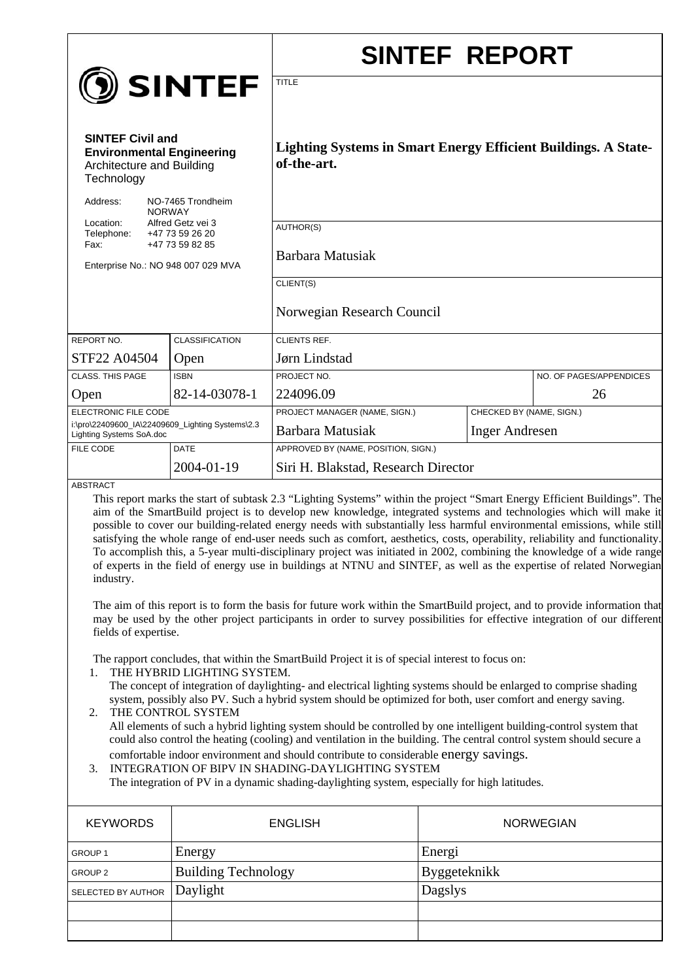|                                                                                                                                                                                                                                                                                                                                                                                                                                                                                                                                                                                                                                                                                                                                                                                                                                                                                                          |                                    |                                                                                                                           | <b>SINTEF REPORT</b>     |                         |
|----------------------------------------------------------------------------------------------------------------------------------------------------------------------------------------------------------------------------------------------------------------------------------------------------------------------------------------------------------------------------------------------------------------------------------------------------------------------------------------------------------------------------------------------------------------------------------------------------------------------------------------------------------------------------------------------------------------------------------------------------------------------------------------------------------------------------------------------------------------------------------------------------------|------------------------------------|---------------------------------------------------------------------------------------------------------------------------|--------------------------|-------------------------|
|                                                                                                                                                                                                                                                                                                                                                                                                                                                                                                                                                                                                                                                                                                                                                                                                                                                                                                          | <b>D</b> SINTEF                    | <b>TITLE</b>                                                                                                              |                          |                         |
| <b>SINTEF Civil and</b><br><b>Environmental Engineering</b><br>Architecture and Building<br>Technology                                                                                                                                                                                                                                                                                                                                                                                                                                                                                                                                                                                                                                                                                                                                                                                                   |                                    | <b>Lighting Systems in Smart Energy Efficient Buildings. A State-</b><br>of-the-art.                                      |                          |                         |
| Address:<br>NO-7465 Trondheim<br><b>NORWAY</b><br>Location:<br>Alfred Getz vei 3                                                                                                                                                                                                                                                                                                                                                                                                                                                                                                                                                                                                                                                                                                                                                                                                                         |                                    | AUTHOR(S)                                                                                                                 |                          |                         |
| Telephone:<br>Fax:<br>Enterprise No.: NO 948 007 029 MVA                                                                                                                                                                                                                                                                                                                                                                                                                                                                                                                                                                                                                                                                                                                                                                                                                                                 | +47 73 59 26 20<br>+47 73 59 82 85 | Barbara Matusiak                                                                                                          |                          |                         |
|                                                                                                                                                                                                                                                                                                                                                                                                                                                                                                                                                                                                                                                                                                                                                                                                                                                                                                          |                                    | CLIENT(S)                                                                                                                 |                          |                         |
|                                                                                                                                                                                                                                                                                                                                                                                                                                                                                                                                                                                                                                                                                                                                                                                                                                                                                                          |                                    | Norwegian Research Council                                                                                                |                          |                         |
| REPORT NO.                                                                                                                                                                                                                                                                                                                                                                                                                                                                                                                                                                                                                                                                                                                                                                                                                                                                                               | <b>CLASSIFICATION</b>              | <b>CLIENTS REF.</b>                                                                                                       |                          |                         |
| STF22 A04504                                                                                                                                                                                                                                                                                                                                                                                                                                                                                                                                                                                                                                                                                                                                                                                                                                                                                             | Open                               | Jørn Lindstad                                                                                                             |                          |                         |
| CLASS. THIS PAGE                                                                                                                                                                                                                                                                                                                                                                                                                                                                                                                                                                                                                                                                                                                                                                                                                                                                                         | <b>ISBN</b>                        | PROJECT NO.                                                                                                               |                          | NO. OF PAGES/APPENDICES |
| Open                                                                                                                                                                                                                                                                                                                                                                                                                                                                                                                                                                                                                                                                                                                                                                                                                                                                                                     | 82-14-03078-1                      | 224096.09                                                                                                                 |                          | 26                      |
| ELECTRONIC FILE CODE                                                                                                                                                                                                                                                                                                                                                                                                                                                                                                                                                                                                                                                                                                                                                                                                                                                                                     |                                    | PROJECT MANAGER (NAME, SIGN.)                                                                                             | CHECKED BY (NAME, SIGN.) |                         |
| i:\pro\22409600_IA\22409609_Lighting Systems\2.3<br>Lighting Systems SoA.doc                                                                                                                                                                                                                                                                                                                                                                                                                                                                                                                                                                                                                                                                                                                                                                                                                             |                                    | Barbara Matusiak<br><b>Inger Andresen</b>                                                                                 |                          |                         |
| FILE CODE                                                                                                                                                                                                                                                                                                                                                                                                                                                                                                                                                                                                                                                                                                                                                                                                                                                                                                | <b>DATE</b>                        | APPROVED BY (NAME, POSITION, SIGN.)                                                                                       |                          |                         |
|                                                                                                                                                                                                                                                                                                                                                                                                                                                                                                                                                                                                                                                                                                                                                                                                                                                                                                          | 2004-01-19                         | Siri H. Blakstad, Research Director                                                                                       |                          |                         |
| <b>ABSTRACT</b>                                                                                                                                                                                                                                                                                                                                                                                                                                                                                                                                                                                                                                                                                                                                                                                                                                                                                          |                                    |                                                                                                                           |                          |                         |
| This report marks the start of subtask 2.3 "Lighting Systems" within the project "Smart Energy Efficient Buildings". The<br>aim of the SmartBuild project is to develop new knowledge, integrated systems and technologies which will make it<br>possible to cover our building-related energy needs with substantially less harmful environmental emissions, while still<br>satisfying the whole range of end-user needs such as comfort, aesthetics, costs, operability, reliability and functionality.<br>To accomplish this, a 5-year multi-disciplinary project was initiated in 2002, combining the knowledge of a wide range<br>of experts in the field of energy use in buildings at NTNU and SINTEF, as well as the expertise of related Norwegian<br>industry.<br>The aim of this report is to form the basis for future work within the SmartBuild project, and to provide information that   |                                    |                                                                                                                           |                          |                         |
| fields of expertise.                                                                                                                                                                                                                                                                                                                                                                                                                                                                                                                                                                                                                                                                                                                                                                                                                                                                                     |                                    | may be used by the other project participants in order to survey possibilities for effective integration of our different |                          |                         |
| The rapport concludes, that within the SmartBuild Project it is of special interest to focus on:<br>THE HYBRID LIGHTING SYSTEM.<br>1.<br>The concept of integration of daylighting- and electrical lighting systems should be enlarged to comprise shading<br>system, possibly also PV. Such a hybrid system should be optimized for both, user comfort and energy saving.<br>THE CONTROL SYSTEM<br>2.<br>All elements of such a hybrid lighting system should be controlled by one intelligent building-control system that<br>could also control the heating (cooling) and ventilation in the building. The central control system should secure a<br>comfortable indoor environment and should contribute to considerable energy savings.<br>INTEGRATION OF BIPV IN SHADING-DAYLIGHTING SYSTEM<br>3.<br>The integration of PV in a dynamic shading-daylighting system, especially for high latitudes. |                                    |                                                                                                                           |                          |                         |
| <b>KEYWORDS</b>                                                                                                                                                                                                                                                                                                                                                                                                                                                                                                                                                                                                                                                                                                                                                                                                                                                                                          |                                    | <b>ENGLISH</b>                                                                                                            |                          | <b>NORWEGIAN</b>        |

| <b>KEYWORDS</b>    | <b>ENGLISH</b>             | <b>NORWEGIAN</b> |
|--------------------|----------------------------|------------------|
| GROUP 1            | Energy                     | Energi           |
| GROUP 2            | <b>Building Technology</b> | Byggeteknikk     |
| SELECTED BY AUTHOR | Daylight                   | Dagslys          |
|                    |                            |                  |
|                    |                            |                  |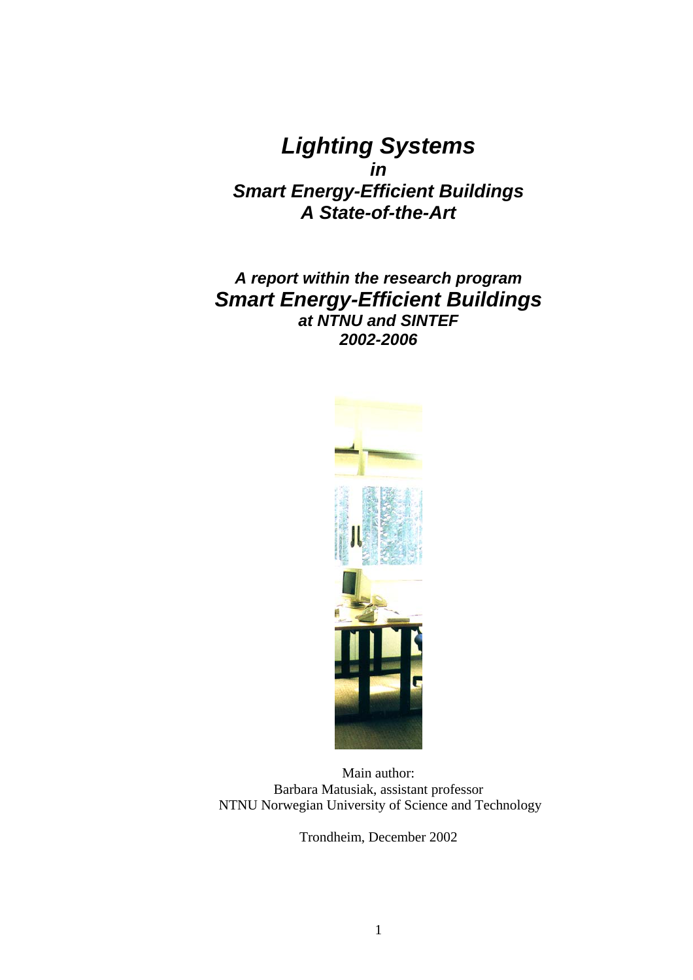*Lighting Systems in Smart Energy-Efficient Buildings A State-of-the-Art*

# *A report within the research program Smart Energy-Efficient Buildings at NTNU and SINTEF 2002-2006*



Main author: Barbara Matusiak, assistant professor NTNU Norwegian University of Science and Technology

Trondheim, December 2002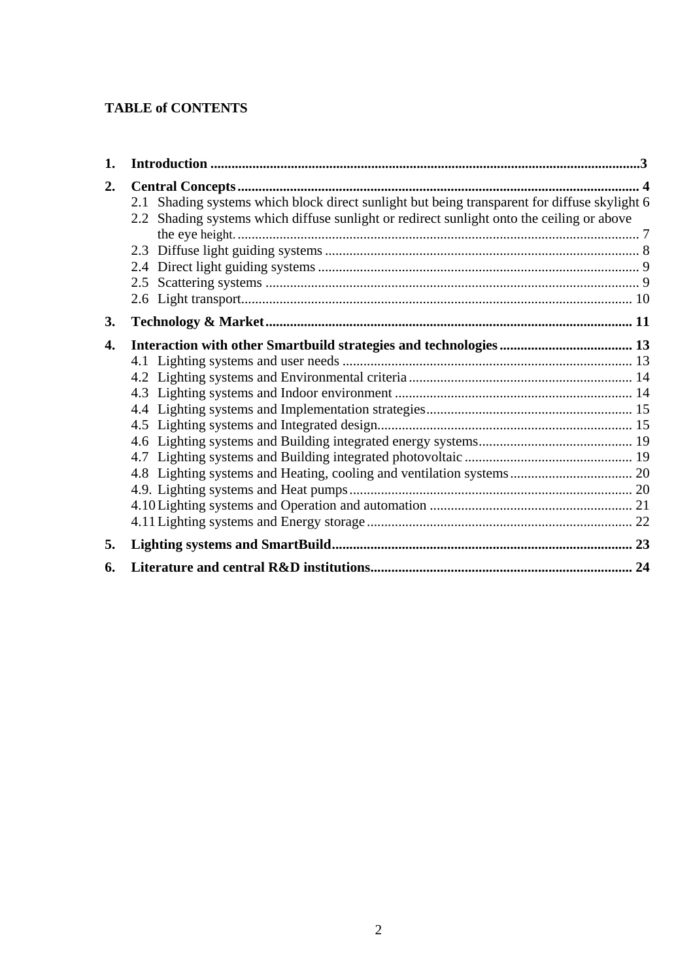### **TABLE of CONTENTS**

| 1. |                                                                                                                                                                                           |  |
|----|-------------------------------------------------------------------------------------------------------------------------------------------------------------------------------------------|--|
| 2. | 2.1 Shading systems which block direct sunlight but being transparent for diffuse skylight 6<br>2.2 Shading systems which diffuse sunlight or redirect sunlight onto the ceiling or above |  |
| 3. |                                                                                                                                                                                           |  |
| 4. |                                                                                                                                                                                           |  |
| 5. |                                                                                                                                                                                           |  |
| 6. |                                                                                                                                                                                           |  |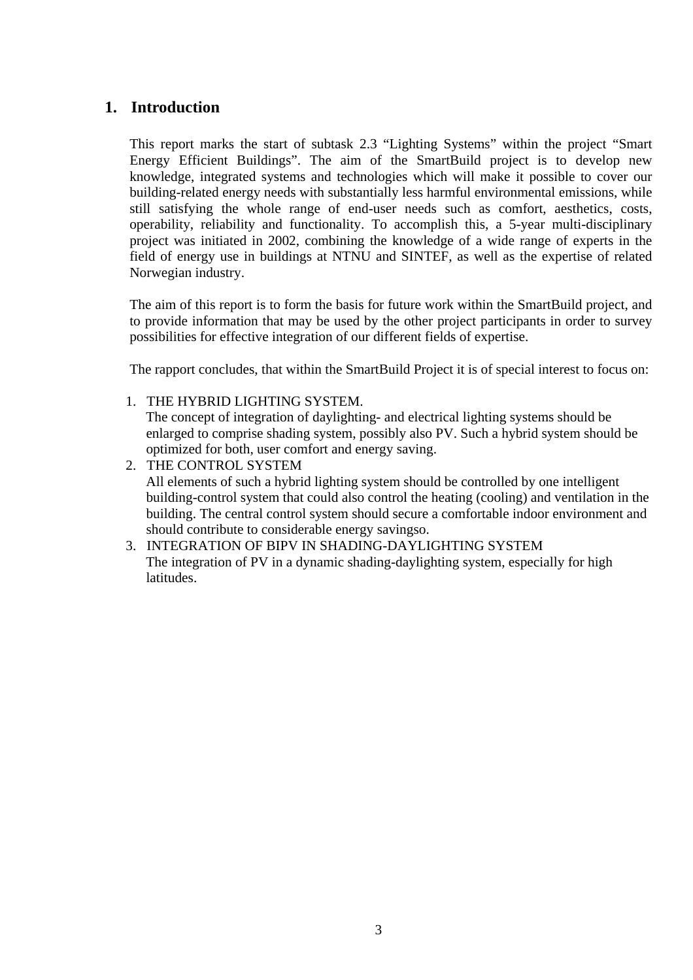### <span id="page-3-0"></span>**1. Introduction**

This report marks the start of subtask 2.3 "Lighting Systems" within the project "Smart Energy Efficient Buildings". The aim of the SmartBuild project is to develop new knowledge, integrated systems and technologies which will make it possible to cover our building-related energy needs with substantially less harmful environmental emissions, while still satisfying the whole range of end-user needs such as comfort, aesthetics, costs, operability, reliability and functionality. To accomplish this, a 5-year multi-disciplinary project was initiated in 2002, combining the knowledge of a wide range of experts in the field of energy use in buildings at NTNU and SINTEF, as well as the expertise of related Norwegian industry.

The aim of this report is to form the basis for future work within the SmartBuild project, and to provide information that may be used by the other project participants in order to survey possibilities for effective integration of our different fields of expertise.

The rapport concludes, that within the SmartBuild Project it is of special interest to focus on:

1. THE HYBRID LIGHTING SYSTEM.

The concept of integration of daylighting- and electrical lighting systems should be enlarged to comprise shading system, possibly also PV. Such a hybrid system should be optimized for both, user comfort and energy saving.

- 2. THE CONTROL SYSTEM All elements of such a hybrid lighting system should be controlled by one intelligent building-control system that could also control the heating (cooling) and ventilation in the building. The central control system should secure a comfortable indoor environment and should contribute to considerable energy savingso.
- 3. INTEGRATION OF BIPV IN SHADING-DAYLIGHTING SYSTEM The integration of PV in a dynamic shading-daylighting system, especially for high latitudes.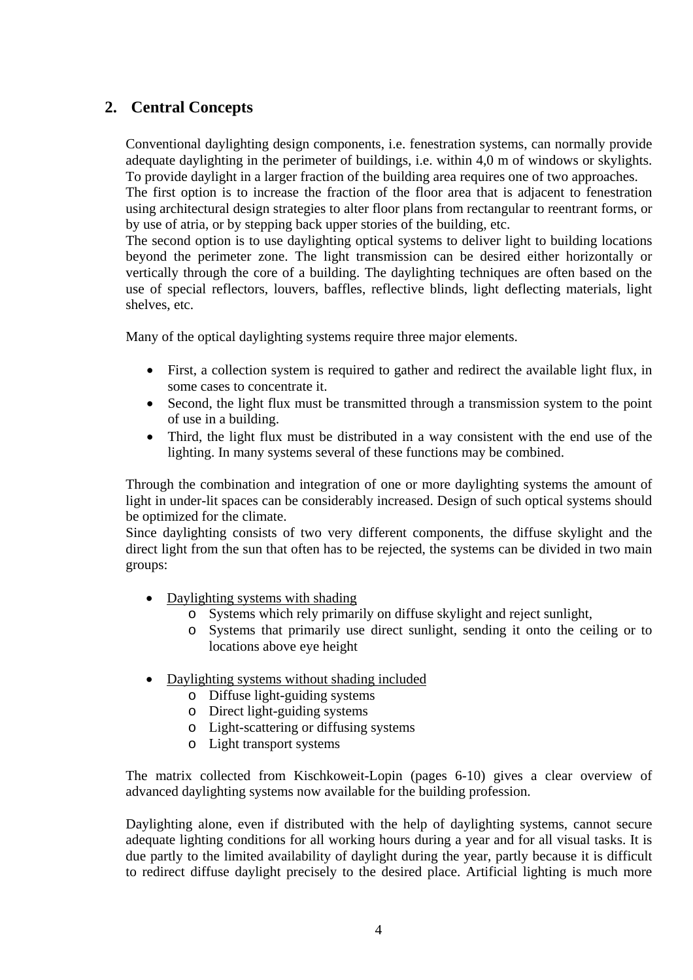## <span id="page-4-0"></span>**2. Central Concepts**

Conventional daylighting design components, i.e. fenestration systems, can normally provide adequate daylighting in the perimeter of buildings, i.e. within 4,0 m of windows or skylights. To provide daylight in a larger fraction of the building area requires one of two approaches.

The first option is to increase the fraction of the floor area that is adjacent to fenestration using architectural design strategies to alter floor plans from rectangular to reentrant forms, or by use of atria, or by stepping back upper stories of the building, etc.

The second option is to use daylighting optical systems to deliver light to building locations beyond the perimeter zone. The light transmission can be desired either horizontally or vertically through the core of a building. The daylighting techniques are often based on the use of special reflectors, louvers, baffles, reflective blinds, light deflecting materials, light shelves, etc.

Many of the optical daylighting systems require three major elements.

- First, a collection system is required to gather and redirect the available light flux, in some cases to concentrate it.
- Second, the light flux must be transmitted through a transmission system to the point of use in a building.
- Third, the light flux must be distributed in a way consistent with the end use of the lighting. In many systems several of these functions may be combined.

Through the combination and integration of one or more daylighting systems the amount of light in under-lit spaces can be considerably increased. Design of such optical systems should be optimized for the climate.

Since daylighting consists of two very different components, the diffuse skylight and the direct light from the sun that often has to be rejected, the systems can be divided in two main groups:

- Daylighting systems with shading
	- o Systems which rely primarily on diffuse skylight and reject sunlight,
	- o Systems that primarily use direct sunlight, sending it onto the ceiling or to locations above eye height
- Daylighting systems without shading included
	- o Diffuse light-guiding systems
	- o Direct light-guiding systems
	- o Light-scattering or diffusing systems
	- o Light transport systems

The matrix collected from Kischkoweit-Lopin (pages 6-10) gives a clear overview of advanced daylighting systems now available for the building profession.

Daylighting alone, even if distributed with the help of daylighting systems, cannot secure adequate lighting conditions for all working hours during a year and for all visual tasks. It is due partly to the limited availability of daylight during the year, partly because it is difficult to redirect diffuse daylight precisely to the desired place. Artificial lighting is much more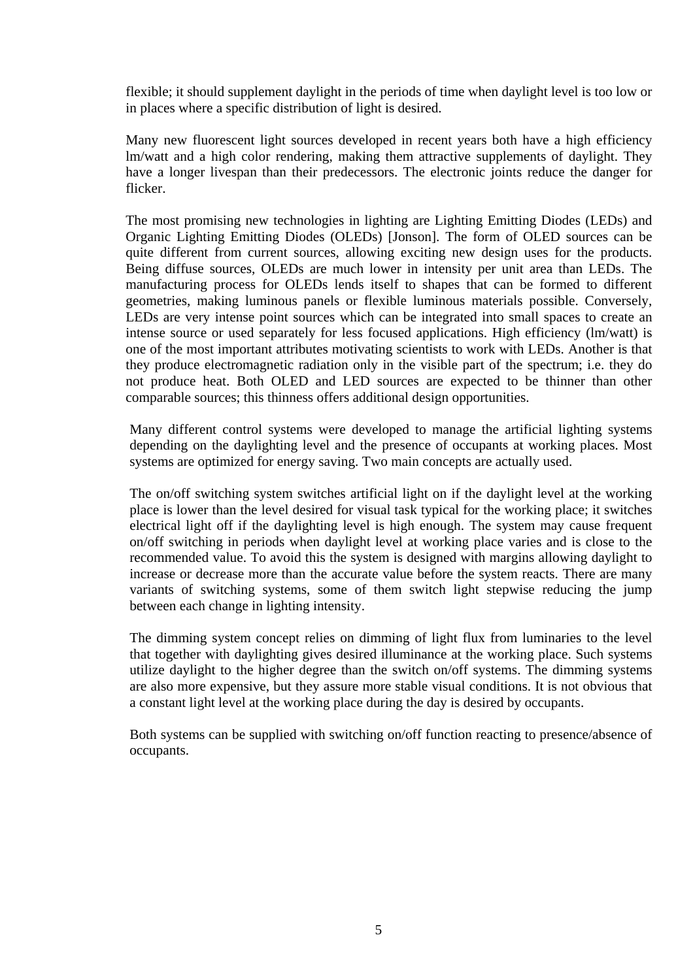flexible; it should supplement daylight in the periods of time when daylight level is too low or in places where a specific distribution of light is desired.

Many new fluorescent light sources developed in recent years both have a high efficiency lm/watt and a high color rendering, making them attractive supplements of daylight. They have a longer livespan than their predecessors. The electronic joints reduce the danger for flicker.

The most promising new technologies in lighting are Lighting Emitting Diodes (LEDs) and Organic Lighting Emitting Diodes (OLEDs) [Jonson]. The form of OLED sources can be quite different from current sources, allowing exciting new design uses for the products. Being diffuse sources, OLEDs are much lower in intensity per unit area than LEDs. The manufacturing process for OLEDs lends itself to shapes that can be formed to different geometries, making luminous panels or flexible luminous materials possible. Conversely, LEDs are very intense point sources which can be integrated into small spaces to create an intense source or used separately for less focused applications. High efficiency (lm/watt) is one of the most important attributes motivating scientists to work with LEDs. Another is that they produce electromagnetic radiation only in the visible part of the spectrum; i.e. they do not produce heat. Both OLED and LED sources are expected to be thinner than other comparable sources; this thinness offers additional design opportunities.

Many different control systems were developed to manage the artificial lighting systems depending on the daylighting level and the presence of occupants at working places. Most systems are optimized for energy saving. Two main concepts are actually used.

The on/off switching system switches artificial light on if the daylight level at the working place is lower than the level desired for visual task typical for the working place; it switches electrical light off if the daylighting level is high enough. The system may cause frequent on/off switching in periods when daylight level at working place varies and is close to the recommended value. To avoid this the system is designed with margins allowing daylight to increase or decrease more than the accurate value before the system reacts. There are many variants of switching systems, some of them switch light stepwise reducing the jump between each change in lighting intensity.

The dimming system concept relies on dimming of light flux from luminaries to the level that together with daylighting gives desired illuminance at the working place. Such systems utilize daylight to the higher degree than the switch on/off systems. The dimming systems are also more expensive, but they assure more stable visual conditions. It is not obvious that a constant light level at the working place during the day is desired by occupants.

Both systems can be supplied with switching on/off function reacting to presence/absence of occupants.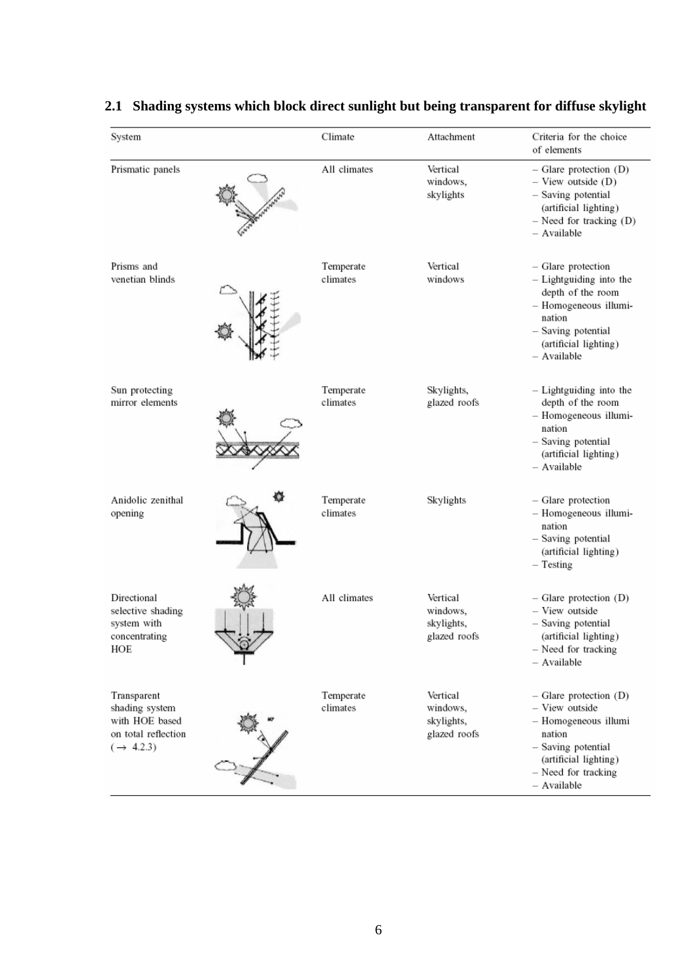| System                                                                                          | Climate               | Attachment                                         | Criteria for the choice<br>of elements                                                                                                                              |
|-------------------------------------------------------------------------------------------------|-----------------------|----------------------------------------------------|---------------------------------------------------------------------------------------------------------------------------------------------------------------------|
| Prismatic panels                                                                                | All climates          | Vertical<br>windows,<br>skylights                  | $-$ Glare protection $(D)$<br>$-$ View outside $(D)$<br>- Saving potential<br>(artificial lighting)<br>$-$ Need for tracking $(D)$<br>- Available                   |
| Prisms and<br>venetian blinds                                                                   | Temperate<br>climates | Vertical<br>windows                                | - Glare protection<br>- Lightguiding into the<br>depth of the room<br>- Homogeneous illumi-<br>nation<br>- Saving potential<br>(artificial lighting)<br>- Available |
| Sun protecting<br>mirror elements                                                               | Temperate<br>climates | Skylights,<br>glazed roofs                         | $-$ Lightguiding into the<br>depth of the room<br>- Homogeneous illumi-<br>nation<br>- Saving potential<br>(artificial lighting)<br>- Available                     |
| Anidolic zenithal<br>opening                                                                    | Temperate<br>climates | Skylights                                          | - Glare protection<br>- Homogeneous illumi-<br>nation<br>- Saving potential<br>(artificial lighting)<br>$-$ Testing                                                 |
| Directional<br>selective shading<br>system with<br>concentrating<br>HOF                         | All climates          | Vertical<br>windows,<br>skylights,<br>glazed roofs | $-$ Glare protection $(D)$<br>- View outside<br>- Saving potential<br>(artificial lighting)<br>- Need for tracking<br>- Available                                   |
| Transparent<br>shading system<br>with HOE based<br>on total reflection<br>$(\rightarrow 4.2.3)$ | Temperate<br>climates | Vertical<br>windows,<br>skylights,<br>glazed roofs | $-$ Glare protection $(D)$<br>- View outside<br>- Homogeneous illumi<br>nation<br>- Saving potential<br>(artificial lighting)<br>- Need for tracking<br>- Available |

# <span id="page-6-0"></span>**2.1 Shading systems which block direct sunlight but being transparent for diffuse skylight**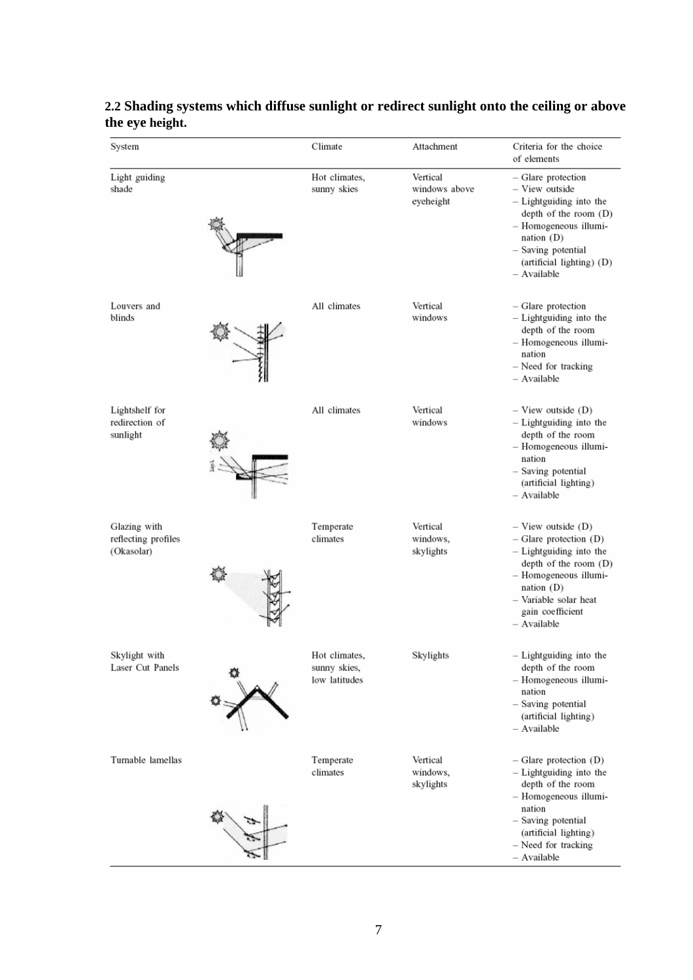| System                                            | Climate                                        | Attachment                             | Criteria for the choice<br>of elements                                                                                                                                                                        |
|---------------------------------------------------|------------------------------------------------|----------------------------------------|---------------------------------------------------------------------------------------------------------------------------------------------------------------------------------------------------------------|
| Light guiding<br>shade                            | Hot climates,<br>sunny skies                   | Vertical<br>windows above<br>eyeheight | - Glare protection<br>- View outside<br>- Lightguiding into the<br>depth of the room (D)<br>- Homogeneous illumi-<br>nation $(D)$<br>- Saving potential<br>(artificial lighting) (D)<br>- Available           |
| Louvers and<br>blinds                             | All climates                                   | Vertical<br>windows                    | - Glare protection<br>- Lightguiding into the<br>depth of the room<br>- Homogeneous illumi-<br>nation<br>- Need for tracking<br>- Available                                                                   |
| Lightshelf for<br>redirection of<br>sunlight      | All climates                                   | Vertical<br>windows                    | $-$ View outside $(D)$<br>- Lightguiding into the<br>depth of the room<br>- Homogeneous illumi-<br>nation<br>- Saving potential<br>(artificial lighting)<br>- Available                                       |
| Glazing with<br>reflecting profiles<br>(Okasolar) | Temperate<br>climates                          | Vertical<br>windows,<br>skylights      | $-$ View outside $(D)$<br>$-$ Glare protection $(D)$<br>- Lightguiding into the<br>depth of the room (D)<br>- Homogeneous illumi-<br>nation $(D)$<br>- Variable solar heat<br>gain coefficient<br>- Available |
| Skylight with<br>Laser Cut Panels                 | Hot climates,<br>sunny skies,<br>low latitudes | Skylights                              | - Lightguiding into the<br>depth of the room<br>- Homogeneous illumi-<br>nation<br>- Saving potential<br>(artificial lighting)<br>- Available                                                                 |
| Turnable lamellas                                 | Temperate<br>climates                          | Vertical<br>windows,<br>skylights      | $-$ Glare protection (D)<br>- Lightguiding into the<br>depth of the room<br>- Homogeneous illumi-<br>nation<br>- Saving potential<br>(artificial lighting)<br>- Need for tracking<br>- Available              |

#### <span id="page-7-0"></span>**2.2 Shading systems which diffuse sunlight or redirect sunlight onto the ceiling or above the eye height.**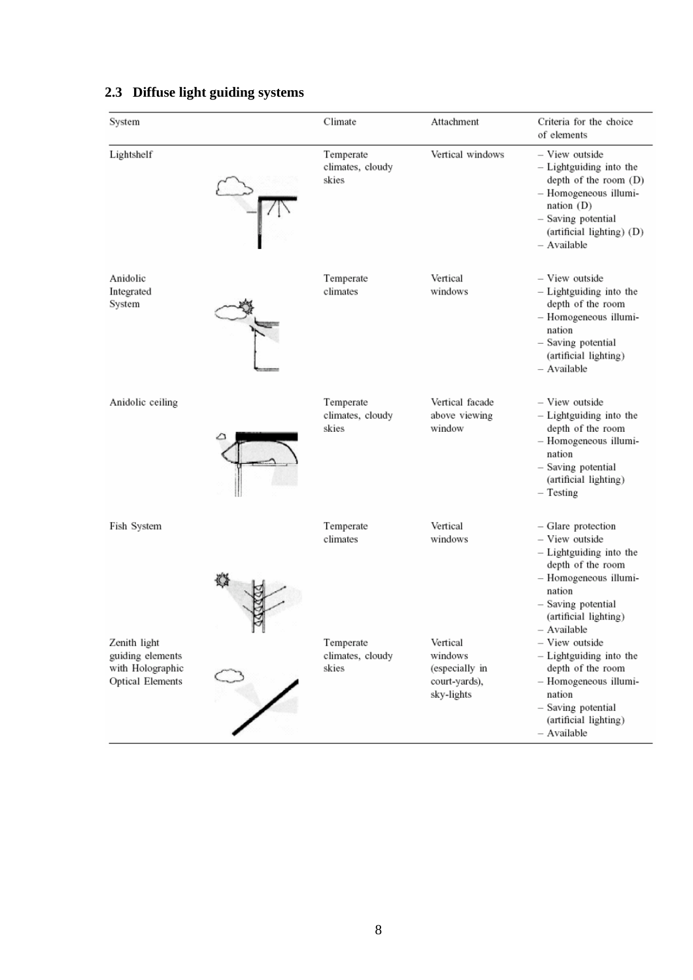| System                                                                          | Climate                                | Attachment                                                           | Criteria for the choice<br>of elements                                                                                                                                                |
|---------------------------------------------------------------------------------|----------------------------------------|----------------------------------------------------------------------|---------------------------------------------------------------------------------------------------------------------------------------------------------------------------------------|
| Lightshelf                                                                      | Temperate<br>climates, cloudy<br>skies | Vertical windows                                                     | - View outside<br>- Lightguiding into the<br>depth of the room (D)<br>- Homogeneous illumi-<br>nation (D)<br>- Saving potential<br>(artificial lighting) (D)<br>- Available           |
| Anidolic<br>Integrated<br>System                                                | Temperate<br>climates                  | Vertical<br>windows                                                  | - View outside<br>- Lightguiding into the<br>depth of the room<br>- Homogeneous illumi-<br>nation<br>- Saving potential<br>(artificial lighting)<br>- Available                       |
| Anidolic ceiling                                                                | Temperate<br>climates, cloudy<br>skies | Vertical facade<br>above viewing<br>window                           | - View outside<br>- Lightguiding into the<br>depth of the room<br>- Homogeneous illumi-<br>nation<br>- Saving potential<br>(artificial lighting)<br>$-$ Testing                       |
| Fish System                                                                     | Temperate<br>climates                  | Vertical<br>windows                                                  | - Glare protection<br>- View outside<br>- Lightguiding into the<br>depth of the room<br>- Homogeneous illumi-<br>nation<br>- Saving potential<br>(artificial lighting)<br>- Available |
| Zenith light<br>guiding elements<br>with Holographic<br><b>Optical Elements</b> | Temperate<br>climates, cloudy<br>skies | Vertical<br>windows<br>(especially in<br>court-yards),<br>sky-lights | - View outside<br>- Lightguiding into the<br>depth of the room<br>- Homogeneous illumi-<br>nation<br>- Saving potential<br>(artificial lighting)<br>- Available                       |

# <span id="page-8-0"></span>**2.3 Diffuse light guiding systems**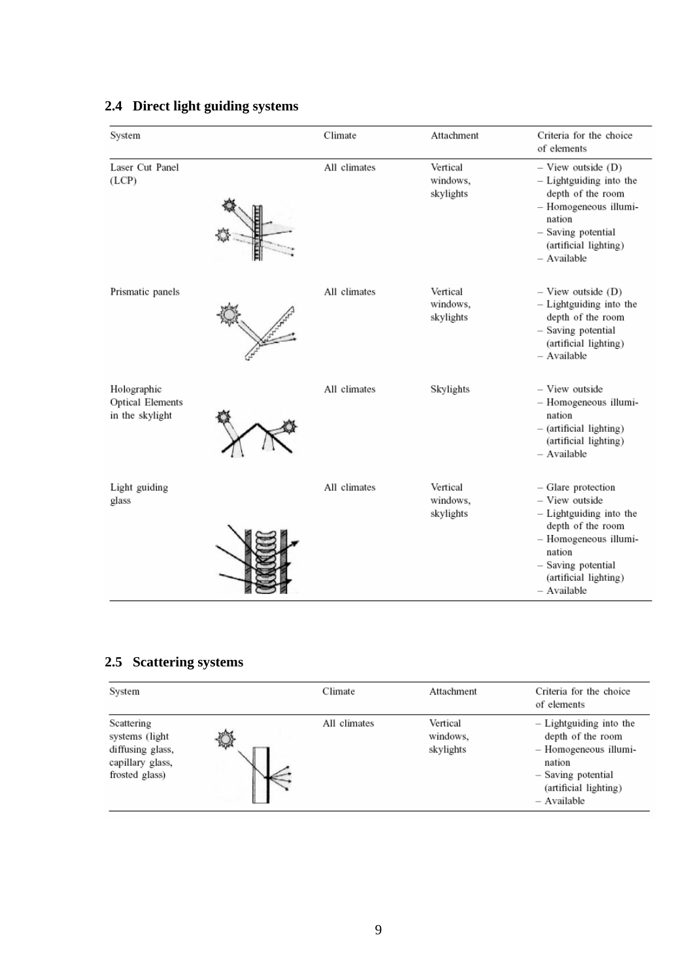| System                                                    | Climate      | Attachment                        | Criteria for the choice<br>of elements                                                                                                                                                |
|-----------------------------------------------------------|--------------|-----------------------------------|---------------------------------------------------------------------------------------------------------------------------------------------------------------------------------------|
| Laser Cut Panel<br>(LCP)                                  | All climates | Vertical<br>windows,<br>skylights | $-$ View outside $(D)$<br>- Lightguiding into the<br>depth of the room<br>- Homogeneous illumi-<br>nation<br>- Saving potential<br>(artificial lighting)<br>- Available               |
| Prismatic panels                                          | All climates | Vertical<br>windows,<br>skylights | $-$ View outside $(D)$<br>- Lightguiding into the<br>depth of the room<br>- Saving potential<br>(artificial lighting)<br>- Available                                                  |
| Holographic<br><b>Optical Elements</b><br>in the skylight | All climates | Skylights                         | - View outside<br>- Homogeneous illumi-<br>nation<br>- (artificial lighting)<br>(artificial lighting)<br>- Available                                                                  |
| Light guiding<br>glass                                    | All climates | Vertical<br>windows,<br>skylights | - Glare protection<br>- View outside<br>- Lightguiding into the<br>depth of the room<br>- Homogeneous illumi-<br>nation<br>- Saving potential<br>(artificial lighting)<br>- Available |

## <span id="page-9-0"></span>**2.4 Direct light guiding systems**

# **2.5 Scattering systems**

| System                                                                                  |             | Climate      | Attachment                        | Criteria for the choice<br>of elements                                                                                                        |
|-----------------------------------------------------------------------------------------|-------------|--------------|-----------------------------------|-----------------------------------------------------------------------------------------------------------------------------------------------|
| Scattering<br>systems (light)<br>diffusing glass,<br>capillary glass,<br>frosted glass) | $2\sqrt{2}$ | All climates | Vertical<br>windows,<br>skylights | - Lightguiding into the<br>depth of the room<br>- Homogeneous illumi-<br>nation<br>- Saving potential<br>(artificial lighting)<br>- Available |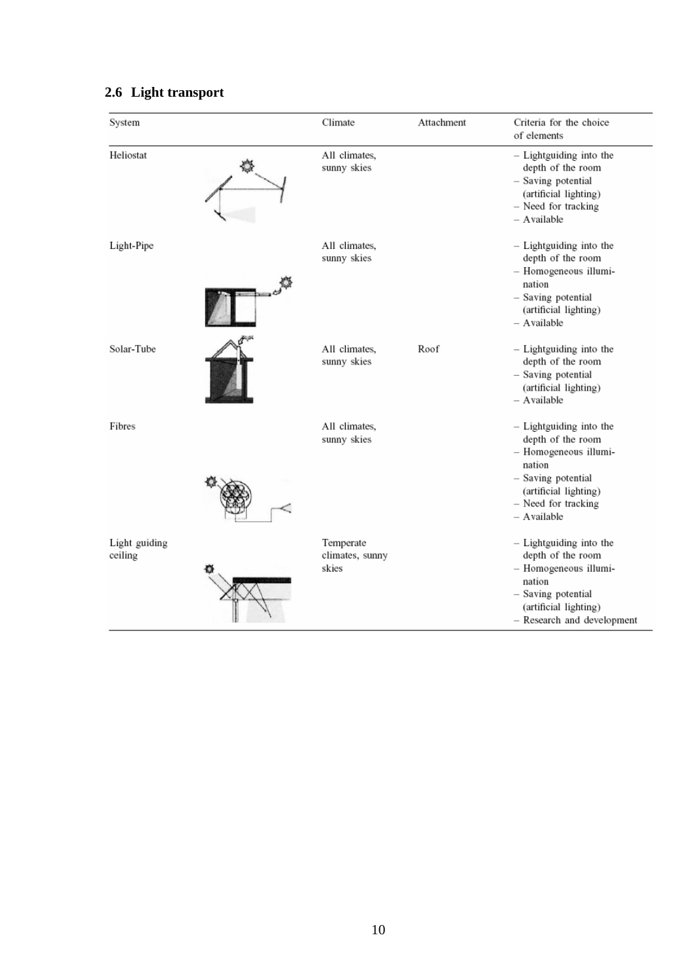<span id="page-10-0"></span>

|  |  | 2.6 Light transport |
|--|--|---------------------|
|--|--|---------------------|

| System                   | Climate                               | Attachment | Criteria for the choice<br>of elements                                                                                                                               |
|--------------------------|---------------------------------------|------------|----------------------------------------------------------------------------------------------------------------------------------------------------------------------|
| Heliostat                | All climates,<br>sunny skies          |            | - Lightguiding into the<br>depth of the room<br>- Saving potential<br>(artificial lighting)<br>- Need for tracking<br>- Available                                    |
| Light-Pipe               | All climates,<br>sunny skies          |            | - Lightguiding into the<br>depth of the room<br>- Homogeneous illumi-<br>nation<br>- Saving potential<br>(artificial lighting)<br>- Available                        |
| Solar-Tube               | All climates,<br>sunny skies          | Roof       | - Lightguiding into the<br>depth of the room<br>- Saving potential<br>(artificial lighting)<br>- Available                                                           |
| Fibres                   | All climates,<br>sunny skies          |            | - Lightguiding into the<br>depth of the room<br>- Homogeneous illumi-<br>nation<br>- Saving potential<br>(artificial lighting)<br>- Need for tracking<br>- Available |
| Light guiding<br>ceiling | Temperate<br>climates, sunny<br>skies |            | - Lightguiding into the<br>depth of the room<br>- Homogeneous illumi-<br>nation<br>- Saving potential<br>(artificial lighting)<br>- Research and development         |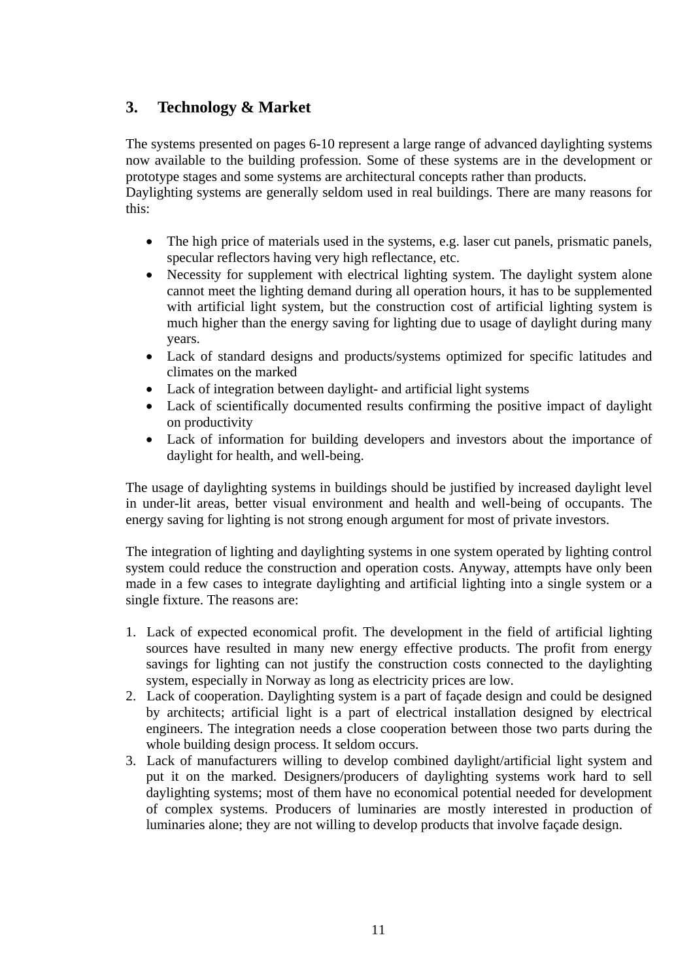## <span id="page-11-0"></span>**3. Technology & Market**

The systems presented on pages 6-10 represent a large range of advanced daylighting systems now available to the building profession. Some of these systems are in the development or prototype stages and some systems are architectural concepts rather than products.

Daylighting systems are generally seldom used in real buildings. There are many reasons for this:

- The high price of materials used in the systems, e.g. laser cut panels, prismatic panels, specular reflectors having very high reflectance, etc.
- Necessity for supplement with electrical lighting system. The daylight system alone cannot meet the lighting demand during all operation hours, it has to be supplemented with artificial light system, but the construction cost of artificial lighting system is much higher than the energy saving for lighting due to usage of daylight during many years.
- Lack of standard designs and products/systems optimized for specific latitudes and climates on the marked
- Lack of integration between daylight- and artificial light systems
- Lack of scientifically documented results confirming the positive impact of daylight on productivity
- Lack of information for building developers and investors about the importance of daylight for health, and well-being.

The usage of daylighting systems in buildings should be justified by increased daylight level in under-lit areas, better visual environment and health and well-being of occupants. The energy saving for lighting is not strong enough argument for most of private investors.

The integration of lighting and daylighting systems in one system operated by lighting control system could reduce the construction and operation costs. Anyway, attempts have only been made in a few cases to integrate daylighting and artificial lighting into a single system or a single fixture. The reasons are:

- 1. Lack of expected economical profit. The development in the field of artificial lighting sources have resulted in many new energy effective products. The profit from energy savings for lighting can not justify the construction costs connected to the daylighting system, especially in Norway as long as electricity prices are low.
- 2. Lack of cooperation. Daylighting system is a part of façade design and could be designed by architects; artificial light is a part of electrical installation designed by electrical engineers. The integration needs a close cooperation between those two parts during the whole building design process. It seldom occurs.
- 3. Lack of manufacturers willing to develop combined daylight/artificial light system and put it on the marked. Designers/producers of daylighting systems work hard to sell daylighting systems; most of them have no economical potential needed for development of complex systems. Producers of luminaries are mostly interested in production of luminaries alone; they are not willing to develop products that involve façade design.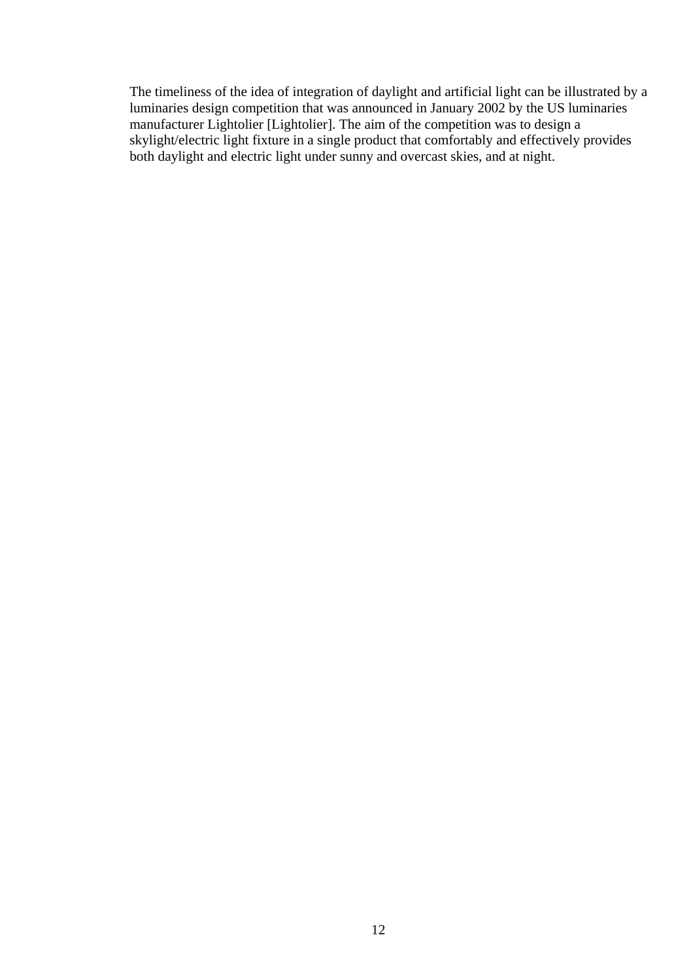The timeliness of the idea of integration of daylight and artificial light can be illustrated by a luminaries design competition that was announced in January 2002 by the US luminaries manufacturer Lightolier [Lightolier]. The aim of the competition was to design a skylight/electric light fixture in a single product that comfortably and effectively provides both daylight and electric light under sunny and overcast skies, and at night.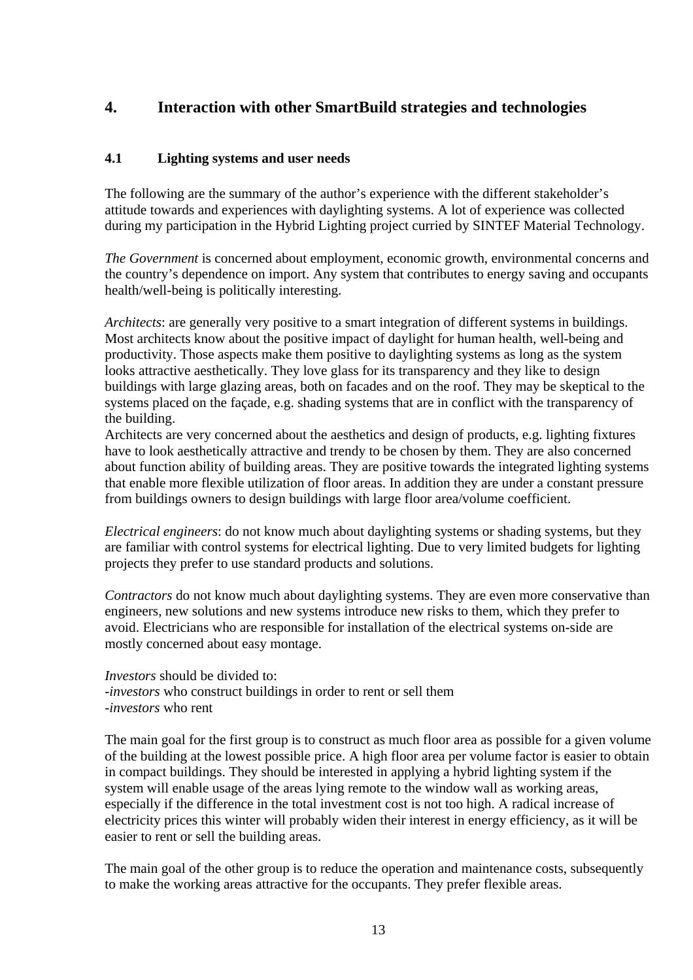### <span id="page-13-0"></span>**4. Interaction with other SmartBuild strategies and technologies**

#### **4.1 Lighting systems and user needs**

The following are the summary of the author's experience with the different stakeholder's attitude towards and experiences with daylighting systems. A lot of experience was collected during my participation in the Hybrid Lighting project curried by SINTEF Material Technology.

*The Government* is concerned about employment, economic growth, environmental concerns and the country's dependence on import. Any system that contributes to energy saving and occupants health/well-being is politically interesting.

*Architects*: are generally very positive to a smart integration of different systems in buildings. Most architects know about the positive impact of daylight for human health, well-being and productivity. Those aspects make them positive to daylighting systems as long as the system looks attractive aesthetically. They love glass for its transparency and they like to design buildings with large glazing areas, both on facades and on the roof. They may be skeptical to the systems placed on the façade, e.g. shading systems that are in conflict with the transparency of the building.

Architects are very concerned about the aesthetics and design of products, e.g. lighting fixtures have to look aesthetically attractive and trendy to be chosen by them. They are also concerned about function ability of building areas. They are positive towards the integrated lighting systems that enable more flexible utilization of floor areas. In addition they are under a constant pressure from buildings owners to design buildings with large floor area/volume coefficient.

*Electrical engineers*: do not know much about daylighting systems or shading systems, but they are familiar with control systems for electrical lighting. Due to very limited budgets for lighting projects they prefer to use standard products and solutions.

*Contractors* do not know much about daylighting systems. They are even more conservative than engineers, new solutions and new systems introduce new risks to them, which they prefer to avoid. Electricians who are responsible for installation of the electrical systems on-side are mostly concerned about easy montage.

*Investors* should be divided to: -*investors* who construct buildings in order to rent or sell them -*investors* who rent

The main goal for the first group is to construct as much floor area as possible for a given volume of the building at the lowest possible price. A high floor area per volume factor is easier to obtain in compact buildings. They should be interested in applying a hybrid lighting system if the system will enable usage of the areas lying remote to the window wall as working areas, especially if the difference in the total investment cost is not too high. A radical increase of electricity prices this winter will probably widen their interest in energy efficiency, as it will be easier to rent or sell the building areas.

The main goal of the other group is to reduce the operation and maintenance costs, subsequently to make the working areas attractive for the occupants. They prefer flexible areas.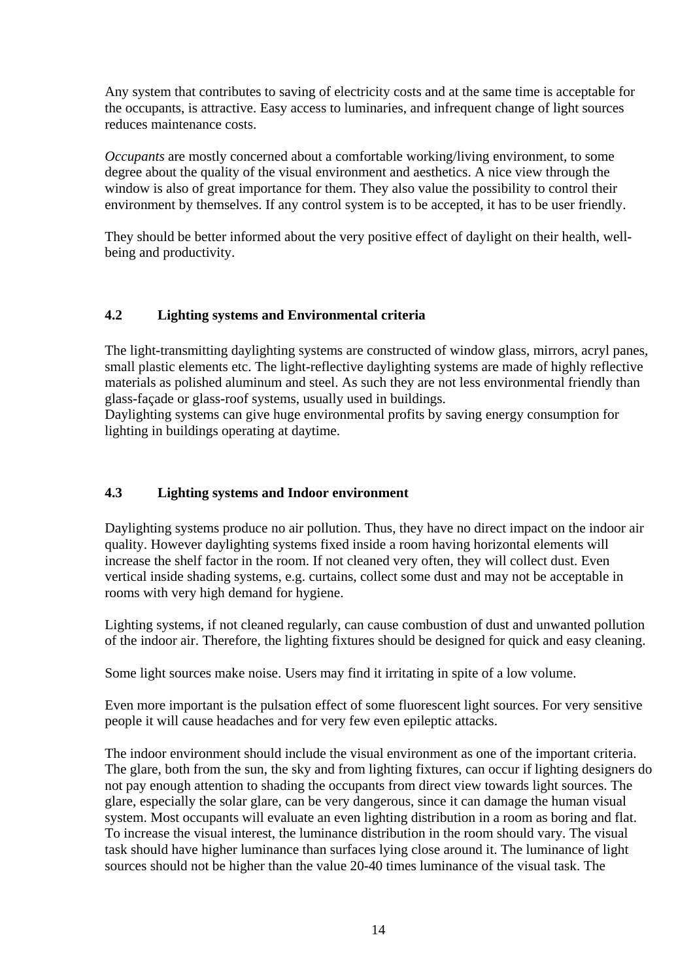<span id="page-14-0"></span>Any system that contributes to saving of electricity costs and at the same time is acceptable for the occupants, is attractive. Easy access to luminaries, and infrequent change of light sources reduces maintenance costs.

*Occupants* are mostly concerned about a comfortable working/living environment, to some degree about the quality of the visual environment and aesthetics. A nice view through the window is also of great importance for them. They also value the possibility to control their environment by themselves. If any control system is to be accepted, it has to be user friendly.

They should be better informed about the very positive effect of daylight on their health, wellbeing and productivity.

#### **4.2 Lighting systems and Environmental criteria**

The light-transmitting daylighting systems are constructed of window glass, mirrors, acryl panes, small plastic elements etc. The light-reflective daylighting systems are made of highly reflective materials as polished aluminum and steel. As such they are not less environmental friendly than glass-façade or glass-roof systems, usually used in buildings.

Daylighting systems can give huge environmental profits by saving energy consumption for lighting in buildings operating at daytime.

### **4.3 Lighting systems and Indoor environment**

Daylighting systems produce no air pollution. Thus, they have no direct impact on the indoor air quality. However daylighting systems fixed inside a room having horizontal elements will increase the shelf factor in the room. If not cleaned very often, they will collect dust. Even vertical inside shading systems, e.g. curtains, collect some dust and may not be acceptable in rooms with very high demand for hygiene.

Lighting systems, if not cleaned regularly, can cause combustion of dust and unwanted pollution of the indoor air. Therefore, the lighting fixtures should be designed for quick and easy cleaning.

Some light sources make noise. Users may find it irritating in spite of a low volume.

Even more important is the pulsation effect of some fluorescent light sources. For very sensitive people it will cause headaches and for very few even epileptic attacks.

The indoor environment should include the visual environment as one of the important criteria. The glare, both from the sun, the sky and from lighting fixtures, can occur if lighting designers do not pay enough attention to shading the occupants from direct view towards light sources. The glare, especially the solar glare, can be very dangerous, since it can damage the human visual system. Most occupants will evaluate an even lighting distribution in a room as boring and flat. To increase the visual interest, the luminance distribution in the room should vary. The visual task should have higher luminance than surfaces lying close around it. The luminance of light sources should not be higher than the value 20-40 times luminance of the visual task. The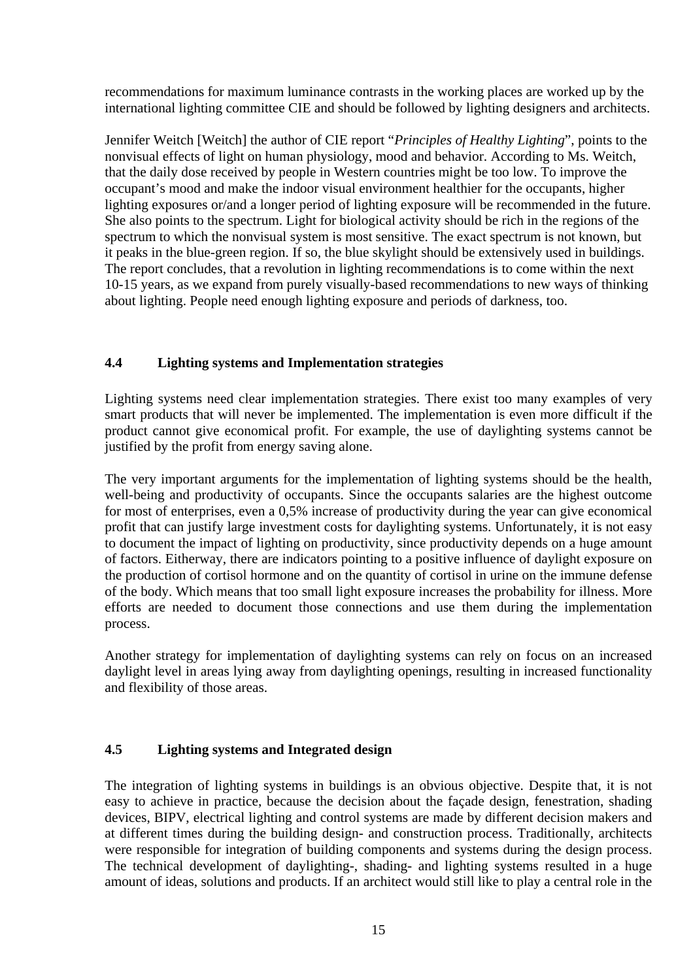<span id="page-15-0"></span>recommendations for maximum luminance contrasts in the working places are worked up by the international lighting committee CIE and should be followed by lighting designers and architects.

Jennifer Weitch [Weitch] the author of CIE report "*Principles of Healthy Lighting*", points to the nonvisual effects of light on human physiology, mood and behavior. According to Ms. Weitch, that the daily dose received by people in Western countries might be too low. To improve the occupant's mood and make the indoor visual environment healthier for the occupants, higher lighting exposures or/and a longer period of lighting exposure will be recommended in the future. She also points to the spectrum. Light for biological activity should be rich in the regions of the spectrum to which the nonvisual system is most sensitive. The exact spectrum is not known, but it peaks in the blue-green region. If so, the blue skylight should be extensively used in buildings. The report concludes, that a revolution in lighting recommendations is to come within the next 10-15 years, as we expand from purely visually-based recommendations to new ways of thinking about lighting. People need enough lighting exposure and periods of darkness, too.

#### **4.4 Lighting systems and Implementation strategies**

Lighting systems need clear implementation strategies. There exist too many examples of very smart products that will never be implemented. The implementation is even more difficult if the product cannot give economical profit. For example, the use of daylighting systems cannot be justified by the profit from energy saving alone.

The very important arguments for the implementation of lighting systems should be the health, well-being and productivity of occupants. Since the occupants salaries are the highest outcome for most of enterprises, even a 0,5% increase of productivity during the year can give economical profit that can justify large investment costs for daylighting systems. Unfortunately, it is not easy to document the impact of lighting on productivity, since productivity depends on a huge amount of factors. Eitherway, there are indicators pointing to a positive influence of daylight exposure on the production of cortisol hormone and on the quantity of cortisol in urine on the immune defense of the body. Which means that too small light exposure increases the probability for illness. More efforts are needed to document those connections and use them during the implementation process.

Another strategy for implementation of daylighting systems can rely on focus on an increased daylight level in areas lying away from daylighting openings, resulting in increased functionality and flexibility of those areas.

#### **4.5 Lighting systems and Integrated design**

The integration of lighting systems in buildings is an obvious objective. Despite that, it is not easy to achieve in practice, because the decision about the façade design, fenestration, shading devices, BIPV, electrical lighting and control systems are made by different decision makers and at different times during the building design- and construction process. Traditionally, architects were responsible for integration of building components and systems during the design process. The technical development of daylighting-, shading- and lighting systems resulted in a huge amount of ideas, solutions and products. If an architect would still like to play a central role in the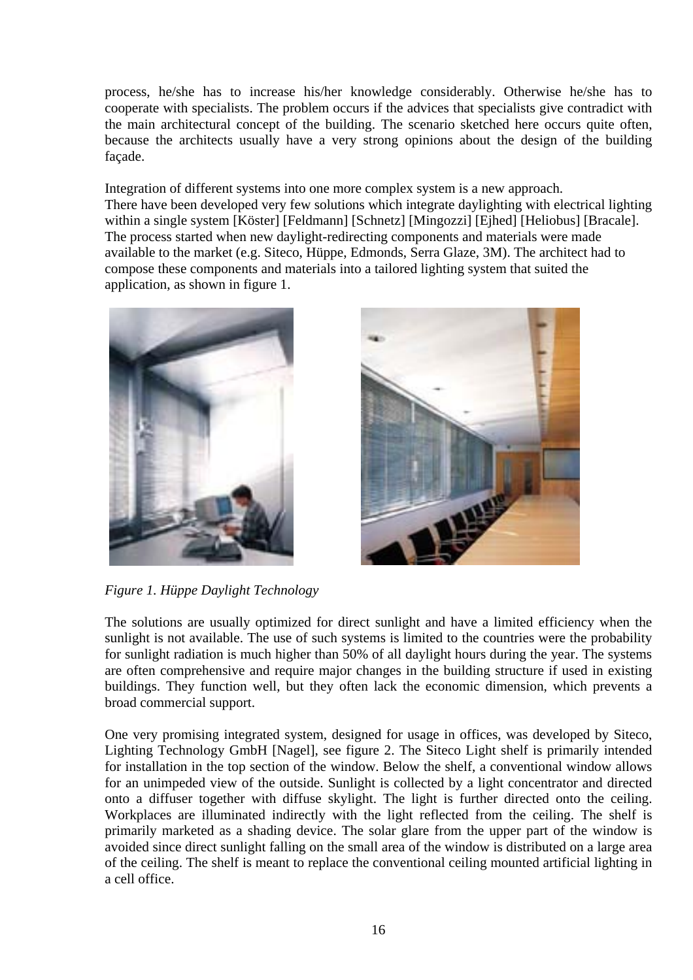process, he/she has to increase his/her knowledge considerably. Otherwise he/she has to cooperate with specialists. The problem occurs if the advices that specialists give contradict with the main architectural concept of the building. The scenario sketched here occurs quite often, because the architects usually have a very strong opinions about the design of the building façade.

Integration of different systems into one more complex system is a new approach. There have been developed very few solutions which integrate daylighting with electrical lighting within a single system [Köster] [Feldmann] [Schnetz] [Mingozzi] [Ejhed] [Heliobus] [Bracale]. The process started when new daylight-redirecting components and materials were made available to the market (e.g. Siteco, Hüppe, Edmonds, Serra Glaze, 3M). The architect had to compose these components and materials into a tailored lighting system that suited the application, as shown in figure 1.





*Figure 1. Hüppe Daylight Technology* 

The solutions are usually optimized for direct sunlight and have a limited efficiency when the sunlight is not available. The use of such systems is limited to the countries were the probability for sunlight radiation is much higher than 50% of all daylight hours during the year. The systems are often comprehensive and require major changes in the building structure if used in existing buildings. They function well, but they often lack the economic dimension, which prevents a broad commercial support.

One very promising integrated system, designed for usage in offices, was developed by Siteco, Lighting Technology GmbH [Nagel], see figure 2. The Siteco Light shelf is primarily intended for installation in the top section of the window. Below the shelf, a conventional window allows for an unimpeded view of the outside. Sunlight is collected by a light concentrator and directed onto a diffuser together with diffuse skylight. The light is further directed onto the ceiling. Workplaces are illuminated indirectly with the light reflected from the ceiling. The shelf is primarily marketed as a shading device. The solar glare from the upper part of the window is avoided since direct sunlight falling on the small area of the window is distributed on a large area of the ceiling. The shelf is meant to replace the conventional ceiling mounted artificial lighting in a cell office.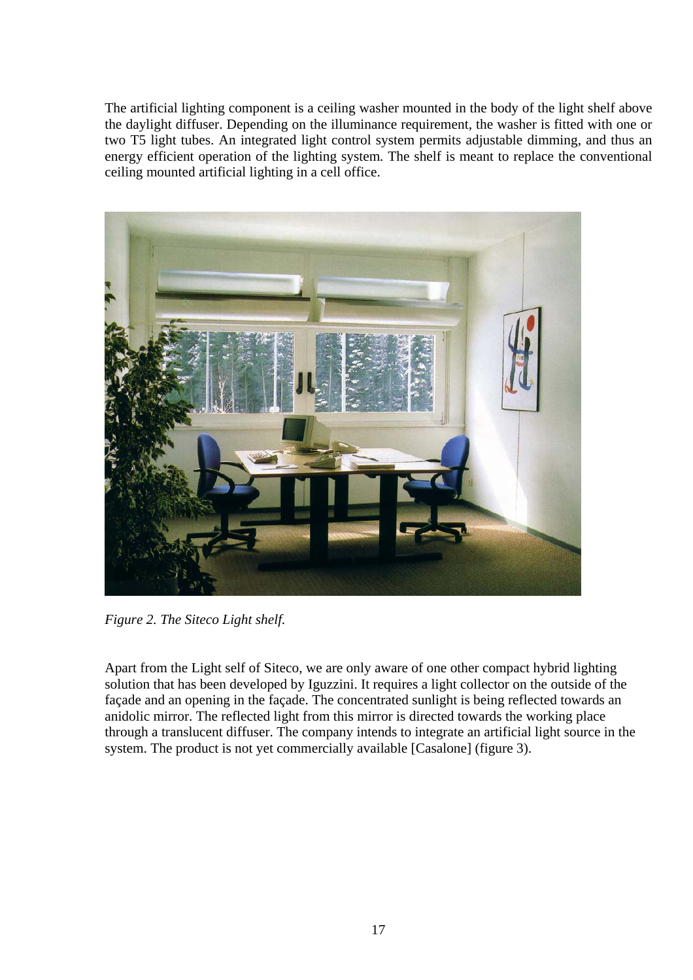The artificial lighting component is a ceiling washer mounted in the body of the light shelf above the daylight diffuser. Depending on the illuminance requirement, the washer is fitted with one or two T5 light tubes. An integrated light control system permits adjustable dimming, and thus an energy efficient operation of the lighting system. The shelf is meant to replace the conventional ceiling mounted artificial lighting in a cell office.



*Figure 2. The Siteco Light shelf.* 

Apart from the Light self of Siteco, we are only aware of one other compact hybrid lighting solution that has been developed by Iguzzini. It requires a light collector on the outside of the façade and an opening in the façade. The concentrated sunlight is being reflected towards an anidolic mirror. The reflected light from this mirror is directed towards the working place through a translucent diffuser. The company intends to integrate an artificial light source in the system. The product is not yet commercially available [Casalone] (figure 3).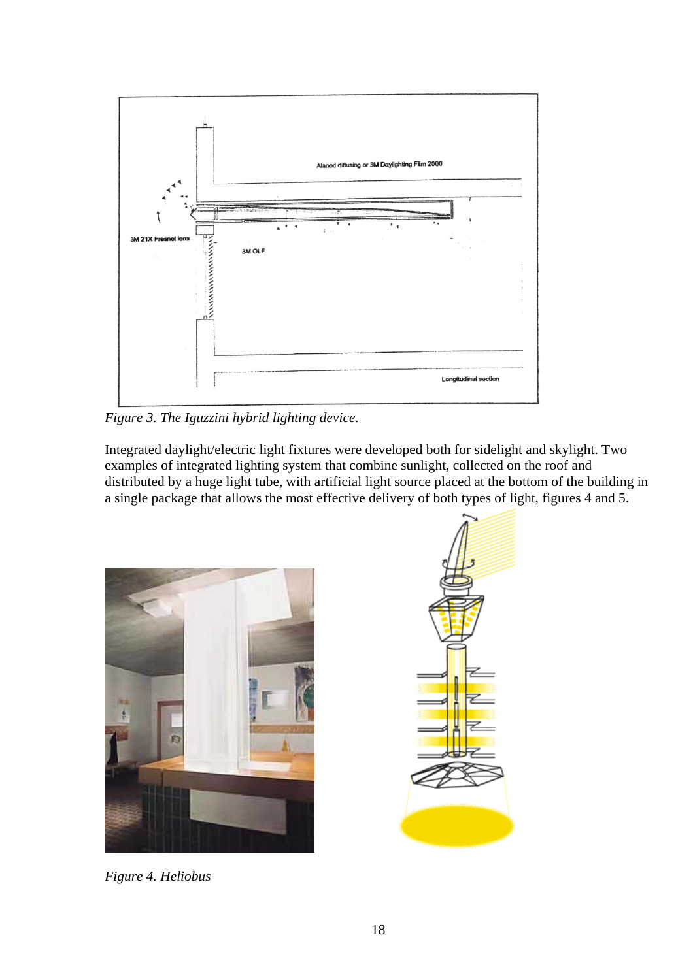

*Figure 3. The Iguzzini hybrid lighting device.* 

Integrated daylight/electric light fixtures were developed both for sidelight and skylight. Two examples of integrated lighting system that combine sunlight, collected on the roof and distributed by a huge light tube, with artificial light source placed at the bottom of the building in a single package that allows the most effective delivery of both types of light, figures 4 and 5.



*Figure 4. Heliobus*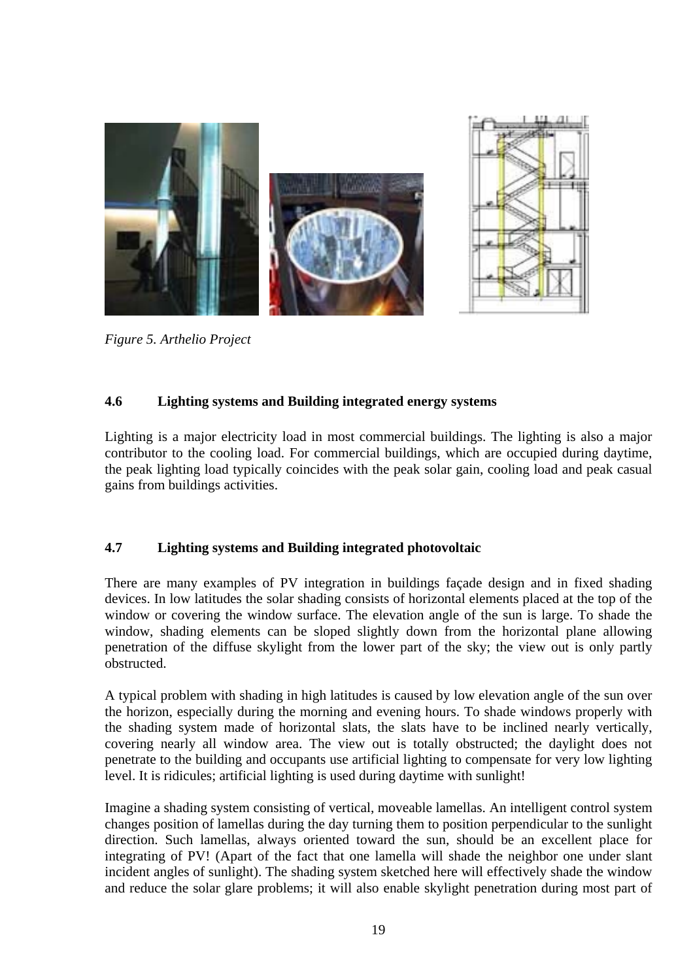<span id="page-19-0"></span>

*Figure 5. Arthelio Project* 

#### **4.6 Lighting systems and Building integrated energy systems**

Lighting is a major electricity load in most commercial buildings. The lighting is also a major contributor to the cooling load. For commercial buildings, which are occupied during daytime, the peak lighting load typically coincides with the peak solar gain, cooling load and peak casual gains from buildings activities.

#### **4.7 Lighting systems and Building integrated photovoltaic**

There are many examples of PV integration in buildings façade design and in fixed shading devices. In low latitudes the solar shading consists of horizontal elements placed at the top of the window or covering the window surface. The elevation angle of the sun is large. To shade the window, shading elements can be sloped slightly down from the horizontal plane allowing penetration of the diffuse skylight from the lower part of the sky; the view out is only partly obstructed.

A typical problem with shading in high latitudes is caused by low elevation angle of the sun over the horizon, especially during the morning and evening hours. To shade windows properly with the shading system made of horizontal slats, the slats have to be inclined nearly vertically, covering nearly all window area. The view out is totally obstructed; the daylight does not penetrate to the building and occupants use artificial lighting to compensate for very low lighting level. It is ridicules; artificial lighting is used during daytime with sunlight!

Imagine a shading system consisting of vertical, moveable lamellas. An intelligent control system changes position of lamellas during the day turning them to position perpendicular to the sunlight direction. Such lamellas, always oriented toward the sun, should be an excellent place for integrating of PV! (Apart of the fact that one lamella will shade the neighbor one under slant incident angles of sunlight). The shading system sketched here will effectively shade the window and reduce the solar glare problems; it will also enable skylight penetration during most part of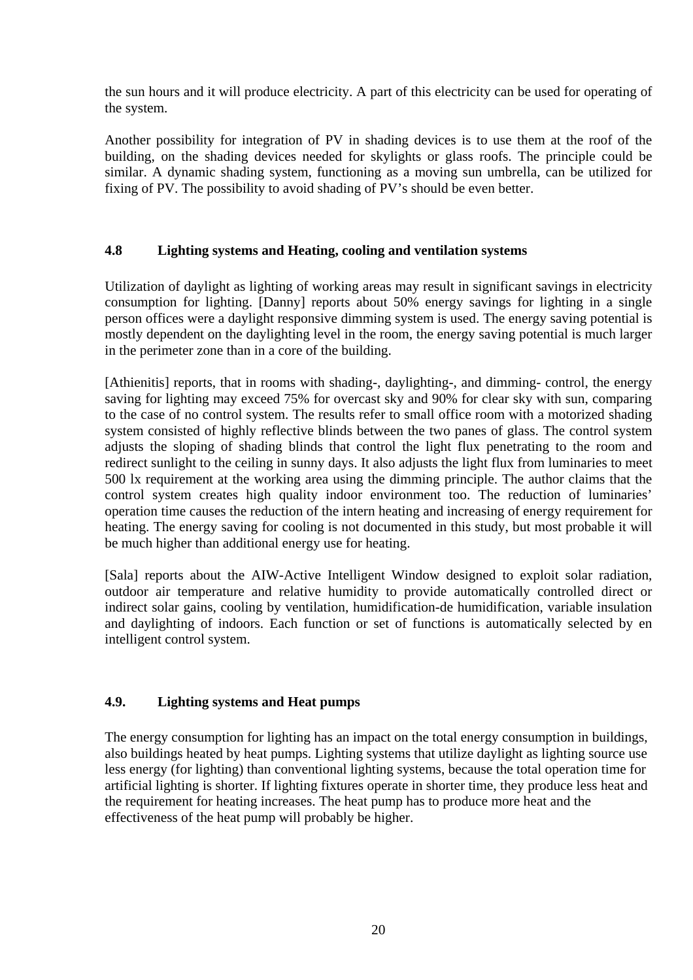<span id="page-20-0"></span>the sun hours and it will produce electricity. A part of this electricity can be used for operating of the system.

Another possibility for integration of PV in shading devices is to use them at the roof of the building, on the shading devices needed for skylights or glass roofs. The principle could be similar. A dynamic shading system, functioning as a moving sun umbrella, can be utilized for fixing of PV. The possibility to avoid shading of PV's should be even better.

#### **4.8 Lighting systems and Heating, cooling and ventilation systems**

Utilization of daylight as lighting of working areas may result in significant savings in electricity consumption for lighting. [Danny] reports about 50% energy savings for lighting in a single person offices were a daylight responsive dimming system is used. The energy saving potential is mostly dependent on the daylighting level in the room, the energy saving potential is much larger in the perimeter zone than in a core of the building.

[Athienitis] reports, that in rooms with shading-, daylighting-, and dimming- control, the energy saving for lighting may exceed 75% for overcast sky and 90% for clear sky with sun, comparing to the case of no control system. The results refer to small office room with a motorized shading system consisted of highly reflective blinds between the two panes of glass. The control system adjusts the sloping of shading blinds that control the light flux penetrating to the room and redirect sunlight to the ceiling in sunny days. It also adjusts the light flux from luminaries to meet 500 lx requirement at the working area using the dimming principle. The author claims that the control system creates high quality indoor environment too. The reduction of luminaries' operation time causes the reduction of the intern heating and increasing of energy requirement for heating. The energy saving for cooling is not documented in this study, but most probable it will be much higher than additional energy use for heating.

[Sala] reports about the AIW-Active Intelligent Window designed to exploit solar radiation, outdoor air temperature and relative humidity to provide automatically controlled direct or indirect solar gains, cooling by ventilation, humidification-de humidification, variable insulation and daylighting of indoors. Each function or set of functions is automatically selected by en intelligent control system.

#### **4.9. Lighting systems and Heat pumps**

The energy consumption for lighting has an impact on the total energy consumption in buildings, also buildings heated by heat pumps. Lighting systems that utilize daylight as lighting source use less energy (for lighting) than conventional lighting systems, because the total operation time for artificial lighting is shorter. If lighting fixtures operate in shorter time, they produce less heat and the requirement for heating increases. The heat pump has to produce more heat and the effectiveness of the heat pump will probably be higher.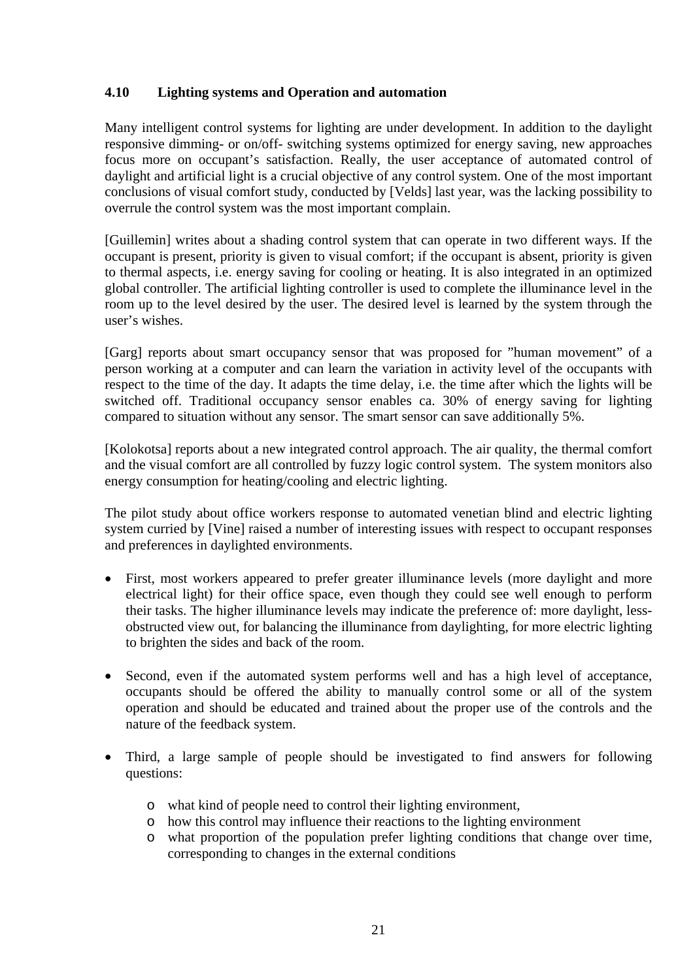#### <span id="page-21-0"></span>**4.10 Lighting systems and Operation and automation**

Many intelligent control systems for lighting are under development. In addition to the daylight responsive dimming- or on/off- switching systems optimized for energy saving, new approaches focus more on occupant's satisfaction. Really, the user acceptance of automated control of daylight and artificial light is a crucial objective of any control system. One of the most important conclusions of visual comfort study, conducted by [Velds] last year, was the lacking possibility to overrule the control system was the most important complain.

[Guillemin] writes about a shading control system that can operate in two different ways. If the occupant is present, priority is given to visual comfort; if the occupant is absent, priority is given to thermal aspects, i.e. energy saving for cooling or heating. It is also integrated in an optimized global controller. The artificial lighting controller is used to complete the illuminance level in the room up to the level desired by the user. The desired level is learned by the system through the user's wishes.

[Garg] reports about smart occupancy sensor that was proposed for "human movement" of a person working at a computer and can learn the variation in activity level of the occupants with respect to the time of the day. It adapts the time delay, i.e. the time after which the lights will be switched off. Traditional occupancy sensor enables ca. 30% of energy saving for lighting compared to situation without any sensor. The smart sensor can save additionally 5%.

[Kolokotsa] reports about a new integrated control approach. The air quality, the thermal comfort and the visual comfort are all controlled by fuzzy logic control system. The system monitors also energy consumption for heating/cooling and electric lighting.

The pilot study about office workers response to automated venetian blind and electric lighting system curried by [Vine] raised a number of interesting issues with respect to occupant responses and preferences in daylighted environments.

- First, most workers appeared to prefer greater illuminance levels (more daylight and more electrical light) for their office space, even though they could see well enough to perform their tasks. The higher illuminance levels may indicate the preference of: more daylight, lessobstructed view out, for balancing the illuminance from daylighting, for more electric lighting to brighten the sides and back of the room.
- Second, even if the automated system performs well and has a high level of acceptance, occupants should be offered the ability to manually control some or all of the system operation and should be educated and trained about the proper use of the controls and the nature of the feedback system.
- Third, a large sample of people should be investigated to find answers for following questions:
	- o what kind of people need to control their lighting environment,
	- o how this control may influence their reactions to the lighting environment
	- o what proportion of the population prefer lighting conditions that change over time, corresponding to changes in the external conditions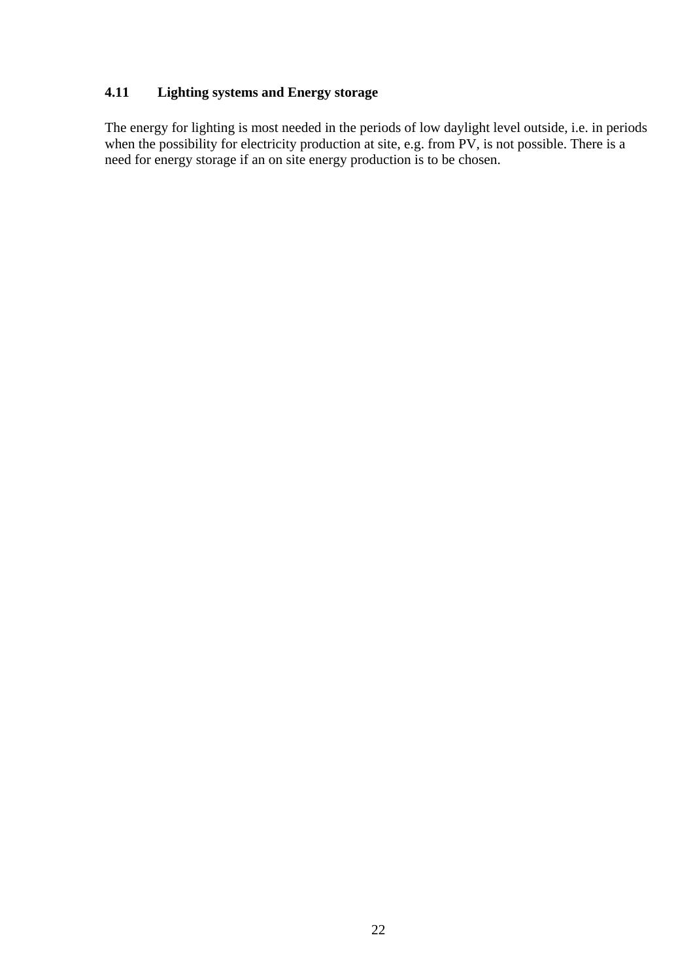#### <span id="page-22-0"></span>**4.11 Lighting systems and Energy storage**

The energy for lighting is most needed in the periods of low daylight level outside, i.e. in periods when the possibility for electricity production at site, e.g. from PV, is not possible. There is a need for energy storage if an on site energy production is to be chosen.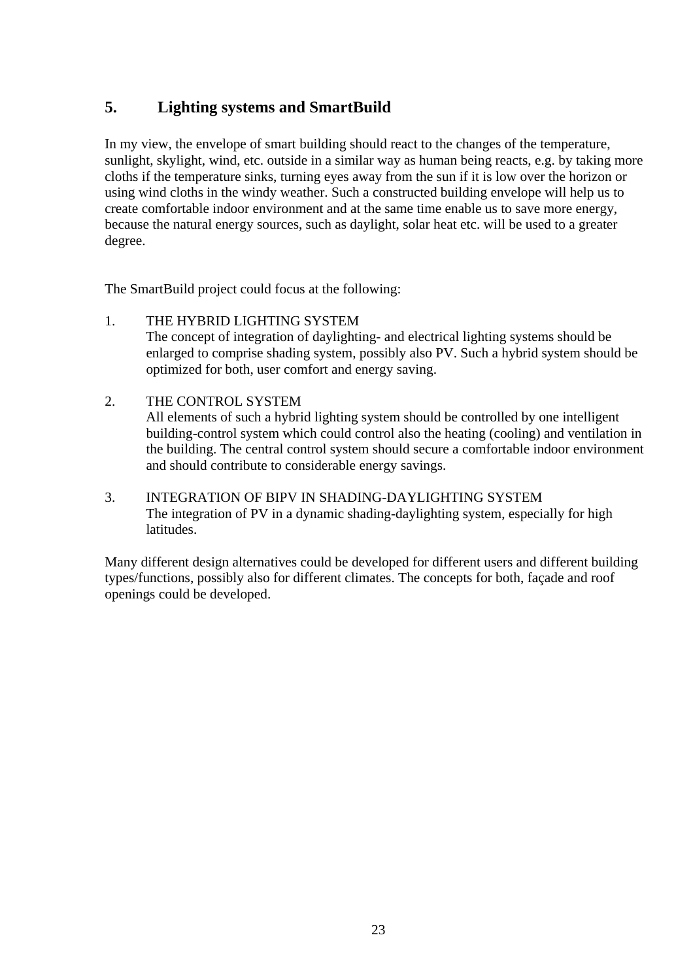# <span id="page-23-0"></span>**5. Lighting systems and SmartBuild**

In my view, the envelope of smart building should react to the changes of the temperature, sunlight, skylight, wind, etc. outside in a similar way as human being reacts, e.g. by taking more cloths if the temperature sinks, turning eyes away from the sun if it is low over the horizon or using wind cloths in the windy weather. Such a constructed building envelope will help us to create comfortable indoor environment and at the same time enable us to save more energy, because the natural energy sources, such as daylight, solar heat etc. will be used to a greater degree.

The SmartBuild project could focus at the following:

- 1. THE HYBRID LIGHTING SYSTEM The concept of integration of daylighting- and electrical lighting systems should be enlarged to comprise shading system, possibly also PV. Such a hybrid system should be optimized for both, user comfort and energy saving.
- 2. THE CONTROL SYSTEM All elements of such a hybrid lighting system should be controlled by one intelligent building-control system which could control also the heating (cooling) and ventilation in the building. The central control system should secure a comfortable indoor environment and should contribute to considerable energy savings.
- 3. INTEGRATION OF BIPV IN SHADING-DAYLIGHTING SYSTEM The integration of PV in a dynamic shading-daylighting system, especially for high latitudes.

Many different design alternatives could be developed for different users and different building types/functions, possibly also for different climates. The concepts for both, façade and roof openings could be developed.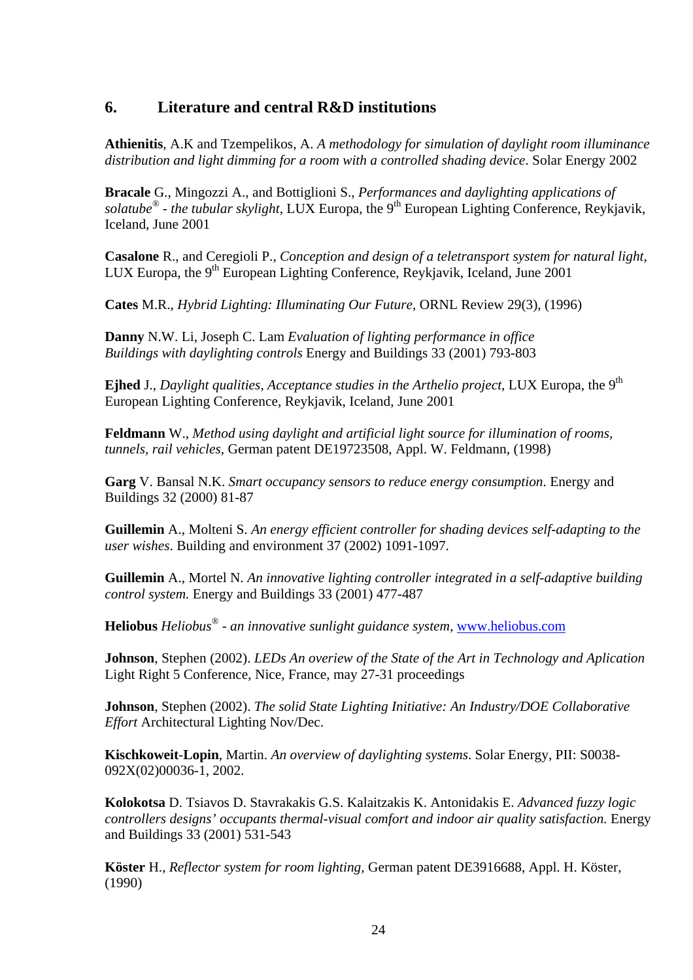### <span id="page-24-0"></span>**6. Literature and central R&D institutions**

**Athienitis**, A.K and Tzempelikos, A. *A methodology for simulation of daylight room illuminance distribution and light dimming for a room with a controlled shading device*. Solar Energy 2002

**Bracale** G., Mingozzi A., and Bottiglioni S., *Performances and daylighting applications of solatube<sup>®</sup> - the tubular skylight*, LUX Europa, the 9<sup>th</sup> European Lighting Conference, Reykjavik, Iceland, June 2001

**Casalone** R., and Ceregioli P., *Conception and design of a teletransport system for natural light*, LUX Europa, the  $9<sup>th</sup>$  European Lighting Conference, Reykjavik, Iceland, June 2001

**Cates** M.R., *Hybrid Lighting: Illuminating Our Future*, ORNL Review 29(3), (1996)

**Danny** N.W. Li, Joseph C. Lam *Evaluation of lighting performance in office Buildings with daylighting controls* Energy and Buildings 33 (2001) 793-803

Ejhed J., *Daylight qualities, Acceptance studies in the Arthelio project*, LUX Europa, the 9<sup>th</sup> European Lighting Conference, Reykjavik, Iceland, June 2001

**Feldmann** W., *Method using daylight and artificial light source for illumination of rooms, tunnels, rail vehicles*, German patent DE19723508, Appl. W. Feldmann, (1998)

**Garg** V. Bansal N.K. *Smart occupancy sensors to reduce energy consumption*. Energy and Buildings 32 (2000) 81-87

**Guillemin** A., Molteni S. *An energy efficient controller for shading devices self-adapting to the user wishes*. Building and environment 37 (2002) 1091-1097.

**Guillemin** A., Mortel N. *An innovative lighting controller integrated in a self-adaptive building control system.* Energy and Buildings 33 (2001) 477-487

**Heliobus** *Heliobus® - an innovative sunlight guidance system*, [www.heliobus.com](http://www.heliobus.com/)

**Johnson**, Stephen (2002). *LEDs An overiew of the State of the Art in Technology and Aplication* Light Right 5 Conference, Nice, France, may 27-31 proceedings

**Johnson**, Stephen (2002). *The solid State Lighting Initiative: An Industry/DOE Collaborative Effort* Architectural Lighting Nov/Dec.

**Kischkoweit**-**Lopin**, Martin. *An overview of daylighting systems*. Solar Energy, PII: S0038- 092X(02)00036-1, 2002.

**Kolokotsa** D. Tsiavos D. Stavrakakis G.S. Kalaitzakis K. Antonidakis E. *Advanced fuzzy logic controllers designs' occupants thermal-visual comfort and indoor air quality satisfaction.* Energy and Buildings 33 (2001) 531-543

**Köster** H., *Reflector system for room lighting,* German patent DE3916688, Appl. H. Köster, (1990)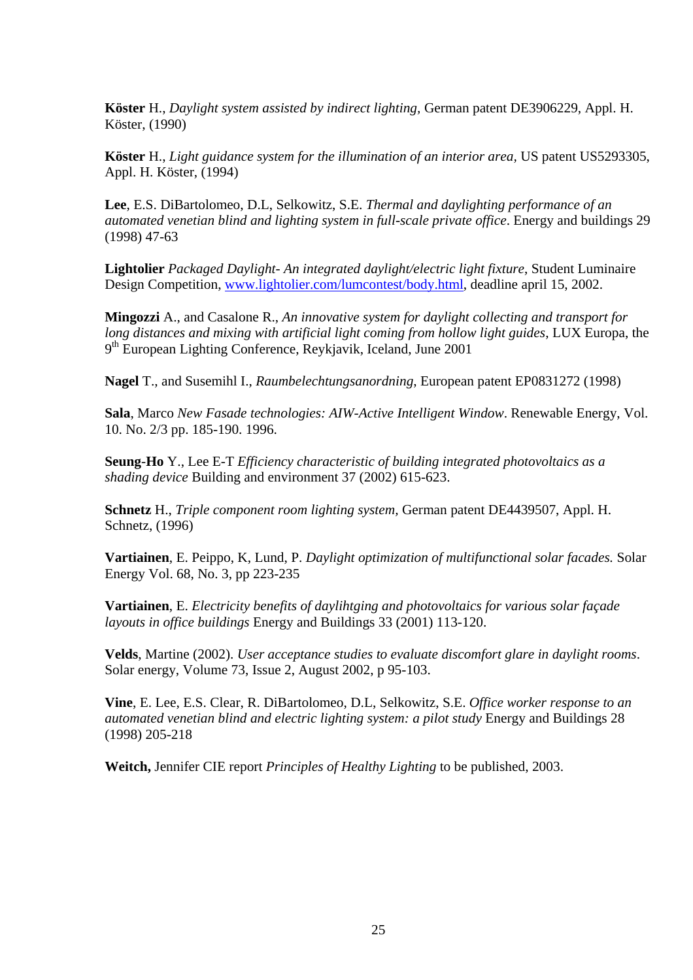**Köster** H., *Daylight system assisted by indirect lighting,* German patent DE3906229, Appl. H. Köster, (1990)

**Köster** H., *Light guidance system for the illumination of an interior area,* US patent US5293305, Appl. H. Köster, (1994)

**Lee**, E.S. DiBartolomeo, D.L, Selkowitz, S.E. *Thermal and daylighting performance of an automated venetian blind and lighting system in full-scale private office*. Energy and buildings 29 (1998) 47-63

**Lightolier** *Packaged Daylight- An integrated daylight/electric light fixture*, Student Luminaire Design Competition, [www.lightolier.com/lumcontest/body.html,](http://www.lightolier.com/lumcontest/body.html) deadline april 15, 2002.

**Mingozzi** A., and Casalone R., *An innovative system for daylight collecting and transport for long distances and mixing with artificial light coming from hollow light guides*, LUX Europa, the 9<sup>th</sup> European Lighting Conference, Reykjavik, Iceland, June 2001

**Nagel** T., and Susemihl I., *Raumbelechtungsanordning*, European patent EP0831272 (1998)

**Sala**, Marco *New Fasade technologies: AIW-Active Intelligent Window*. Renewable Energy, Vol. 10. No. 2/3 pp. 185-190. 1996.

**Seung**-**Ho** Y., Lee E-T *Efficiency characteristic of building integrated photovoltaics as a shading device* Building and environment 37 (2002) 615-623.

**Schnetz** H., *Triple component room lighting system,* German patent DE4439507, Appl. H. Schnetz, (1996)

**Vartiainen**, E. Peippo, K, Lund, P. *Daylight optimization of multifunctional solar facades.* Solar Energy Vol. 68, No. 3, pp 223-235

**Vartiainen**, E. *Electricity benefits of daylihtging and photovoltaics for various solar façade layouts in office buildings* Energy and Buildings 33 (2001) 113-120.

**Velds**, Martine (2002). *User acceptance studies to evaluate discomfort glare in daylight rooms*. Solar energy, Volume 73, Issue 2, August 2002, p 95-103.

**Vine**, E. Lee, E.S. Clear, R. DiBartolomeo, D.L, Selkowitz, S.E. *Office worker response to an automated venetian blind and electric lighting system: a pilot study* Energy and Buildings 28 (1998) 205-218

**Weitch,** Jennifer CIE report *Principles of Healthy Lighting* to be published, 2003.